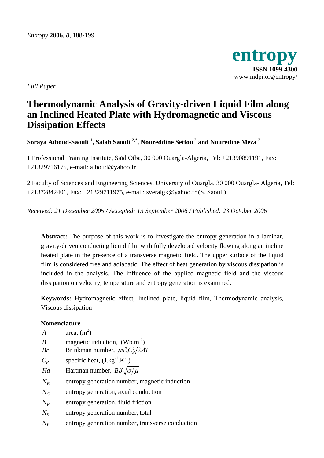

*Full Paper* 

# **Thermodynamic Analysis of Gravity-driven Liquid Film along an Inclined Heated Plate with Hydromagnetic and Viscous Dissipation Effects**

**Soraya Aïboud-Saouli 1 , Salah Saouli 2,\*, Noureddine Settou 2 and Nouredine Meza 2** 

1 Professional Training Institute, Saïd Otba, 30 000 Ouargla-Algeria, Tel: +21390891191, Fax: +21329716175, e-mail: aiboud@yahoo.fr

2 Faculty of Sciences and Engineering Sciences, University of Ouargla, 30 000 Ouargla- Algeria, Tel: +21372842401, Fax: +21329711975, e-mail: sveralgk@yahoo.fr (S. Saouli)

*Received: 21 December 2005 / Accepted: 13 September 2006 / Published: 23 October 2006* 

**Abstract:** The purpose of this work is to investigate the entropy generation in a laminar, gravity-driven conducting liquid film with fully developed velocity flowing along an incline heated plate in the presence of a transverse magnetic field. The upper surface of the liquid film is considered free and adiabatic. The effect of heat generation by viscous dissipation is included in the analysis. The influence of the applied magnetic field and the viscous dissipation on velocity, temperature and entropy generation is examined.

**Keywords:** Hydromagnetic effect, Inclined plate, liquid film, Thermodynamic analysis, Viscous dissipation

# **Nomenclature**

| $\boldsymbol{A}$ | area, $(m2)$                                          |
|------------------|-------------------------------------------------------|
| B                | magnetic induction, $(Wb.m-2)$                        |
| Br               | Brinkman number, $\mu u_m^2 C_p^2 / \lambda \Delta T$ |
| $C_p$            | specific heat, $(J.kg^{-1}.K^{-1})$                   |
| Ha               | Hartman number, $B\delta\sqrt{\sigma/\mu}$            |
| $N_R$            | entropy generation number, magnetic induction         |
| $N_c$            | entropy generation, axial conduction                  |
| $N_F$            | entropy generation, fluid friction                    |
| $N_{\rm S}$      | entropy generation number, total                      |
| $N_{Y}$          | entropy generation number, transverse conduction      |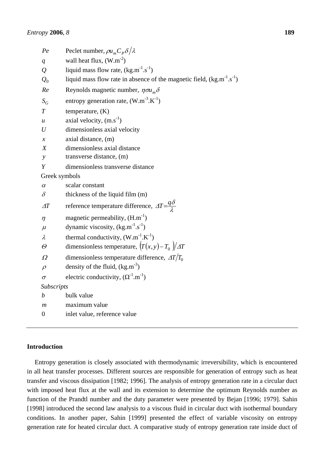| Pe                | Peclet number, $\rho u_m C_p \delta/\lambda$                                 |
|-------------------|------------------------------------------------------------------------------|
| $\overline{q}$    | wall heat flux, $(W.m^{-2})$                                                 |
| $\overline{Q}$    | liquid mass flow rate, $(kg.m^{-1}.s^{-1})$                                  |
| $Q_0$             | liquid mass flow rate in absence of the magnetic field, $(kg.m^{-1}.s^{-1})$ |
| Re                | Reynolds magnetic number, $\eta \sigma u_m \delta$                           |
| $S_G$             | entropy generation rate, $(W.m^{-3}.K^{-1})$                                 |
| $\overline{T}$    | temperature, $(K)$                                                           |
| u                 | axial velocity, $(m.s^{-1})$                                                 |
| U                 | dimensionless axial velocity                                                 |
| $\chi$            | axial distance, (m)                                                          |
| X                 | dimensionless axial distance                                                 |
| $\mathcal{Y}$     | transverse distance, (m)                                                     |
| Y                 | dimensionless transverse distance                                            |
| Greek symbols     |                                                                              |
| $\alpha$          | scalar constant                                                              |
| $\delta$          | thickness of the liquid film (m)                                             |
| $\varDelta T$     | reference temperature difference, $\Delta T = \frac{q\delta}{\lambda}$       |
| $\eta$            | magnetic permeability, $(H.m^{-1})$                                          |
| $\mu$             | dynamic viscosity, $(kg.m^{-1}.s^{-1})$                                      |
| $\lambda$         | thermal conductivity, $(W.m^{-1}.K^{-1})$                                    |
| $\varTheta$       | dimensionless temperature, $(T(x, y) - T_0)/\Delta T$                        |
| Ω                 | dimensionless temperature difference, $\Delta T/T_0$                         |
| $\rho$            | density of the fluid, $(kg.m^{-3})$                                          |
| $\sigma$          | electric conductivity, $(\Omega^{-1}.m^{-1})$                                |
| <b>Subscripts</b> |                                                                              |
| $\boldsymbol{b}$  | bulk value                                                                   |
| $\boldsymbol{m}$  | maximum value                                                                |
| 0                 | inlet value, reference value                                                 |
|                   |                                                                              |

## **Introduction**

Entropy generation is closely associated with thermodynamic irreversibility, which is encountered in all heat transfer processes. Different sources are responsible for generation of entropy such as heat transfer and viscous dissipation [1982; 1996]. The analysis of entropy generation rate in a circular duct with imposed heat flux at the wall and its extension to determine the optimum Reynolds number as function of the Prandtl number and the duty parameter were presented by Bejan [1996; 1979]. Sahin [1998] introduced the second law analysis to a viscous fluid in circular duct with isothermal boundary conditions. In another paper, Sahin [1999] presented the effect of variable viscosity on entropy generation rate for heated circular duct. A comparative study of entropy generation rate inside duct of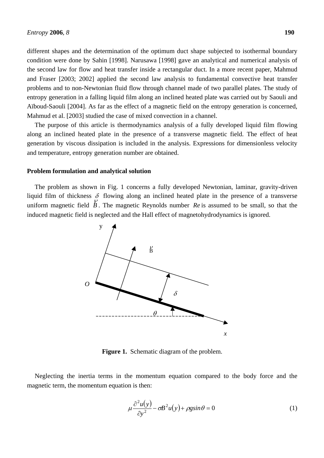different shapes and the determination of the optimum duct shape subjected to isothermal boundary condition were done by Sahin [1998]. Narusawa [1998] gave an analytical and numerical analysis of the second law for flow and heat transfer inside a rectangular duct. In a more recent paper, Mahmud and Fraser [2003; 2002] applied the second law analysis to fundamental convective heat transfer problems and to non-Newtonian fluid flow through channel made of two parallel plates. The study of entropy generation in a falling liquid film along an inclined heated plate was carried out by Saouli and Aïboud-Saouli [2004]. As far as the effect of a magnetic field on the entropy generation is concerned, Mahmud et al. [2003] studied the case of mixed convection in a channel.

The purpose of this article is thermodynamics analysis of a fully developed liquid film flowing along an inclined heated plate in the presence of a transverse magnetic field. The effect of heat generation by viscous dissipation is included in the analysis. Expressions for dimensionless velocity and temperature, entropy generation number are obtained.

### **Problem formulation and analytical solution**

The problem as shown in Fig. 1 concerns a fully developed Newtonian, laminar, gravity-driven liquid film of thickness  $\delta$  flowing along an inclined heated plate in the presence of a transverse uniform magnetic field *B* . The magnetic Reynolds number *Re* is assumed to be small, so that the induced magnetic field is neglected and the Hall effect of magnetohydrodynamics is ignored.



**Figure 1.** Schematic diagram of the problem.

Neglecting the inertia terms in the momentum equation compared to the body force and the magnetic term, the momentum equation is then:

$$
\mu \frac{\partial^2 u(y)}{\partial y^2} - \sigma B^2 u(y) + \rho g \sin \theta = 0
$$
 (1)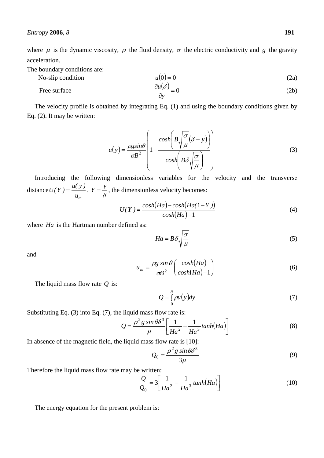where  $\mu$  is the dynamic viscosity,  $\rho$  the fluid density,  $\sigma$  the electric conductivity and *g* the gravity acceleration.

The boundary conditions are:

No-slip condition

$$
u(0) = 0 \tag{2a}
$$

Free surface 
$$
\frac{\partial u(\delta)}{\partial y} = 0
$$
 (2b)

The velocity profile is obtained by integrating Eq. (1) and using the boundary conditions given by Eq. (2). It may be written:

$$
u(y) = \frac{\rho g \sin \theta}{\sigma B^2} \left( 1 - \frac{\cosh \left( B \sqrt{\frac{\sigma}{\mu}} (\delta - y) \right)}{\cosh \left( B \delta \sqrt{\frac{\sigma}{\mu}} \right)} \right)
$$
(3)

Introducing the following dimensionless variables for the velocity and the transverse distance  $U(Y) = \frac{u(y)}{u_m}$ ,  $Y = \frac{y}{\delta}$ , the dimensionless velocity becomes:

$$
U(Y) = \frac{\cosh(Ha) - \cosh(Ha(1 - Y))}{\cosh(Ha) - 1}
$$
\n(4)

where *Ha* is the Hartman number defined as:

$$
Ha = B\delta \sqrt{\frac{\sigma}{\mu}}\tag{5}
$$

and

$$
u_m = \frac{\rho g \sin \theta}{\sigma B^2} \left( \frac{\cosh(Ha)}{\cosh(Ha) - 1} \right) \tag{6}
$$

The liquid mass flow rate *Q* is:

$$
Q = \int_{0}^{\delta} \rho u(y) dy \tag{7}
$$

Substituting Eq. (3) into Eq. (7), the liquid mass flow rate is:

$$
Q = \frac{\rho^2 g \sin \theta \delta^3}{\mu} \left[ \frac{1}{H a^2} - \frac{1}{H a^3} \tanh(H a) \right]
$$
 (8)

In absence of the magnetic field, the liquid mass flow rate is [10]:

$$
Q_0 = \frac{\rho^2 g \sin \theta \delta^3}{3\mu} \tag{9}
$$

Therefore the liquid mass flow rate may be written:

$$
\frac{Q}{Q_0} = 3 \left[ \frac{1}{Ha^2} - \frac{1}{Ha^3} \tanh(Ha) \right]
$$
 (10)

The energy equation for the present problem is: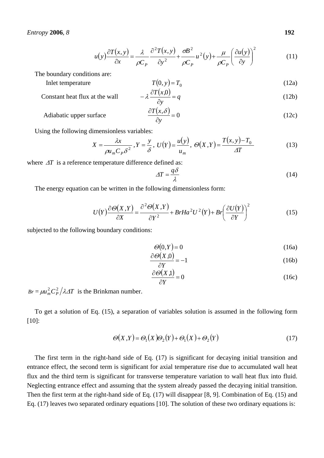$$
u(y)\frac{\partial T(x,y)}{\partial x} = \frac{\lambda}{\rho C_P} \frac{\partial^2 T(x,y)}{\partial y^2} + \frac{\sigma B^2}{\rho C_P} u^2(y) + \frac{\mu}{\rho C_P} \left(\frac{\partial u(y)}{\partial y}\right)^2 \tag{11}
$$

The boundary conditions are:

Inlet temperature  
\n
$$
T(0, y) = T_0
$$
\n(12a)  
\nConstant heat flux at the wall  
\n
$$
-\lambda \frac{\partial T(x,0)}{\partial t} = q
$$
\n(12b)

stant heat flux at the wall

\n
$$
-\lambda \frac{\partial T(x,0)}{\partial y} = q
$$
\n(12b)

\n
$$
2T(x, s)
$$

$$
\text{Adiabatic upper surface} \qquad \qquad \frac{\partial T(x,\delta)}{\partial y} = 0 \tag{12c}
$$

Using the following dimensionless variables:

$$
X = \frac{\lambda x}{\rho u_m C_P \delta^2}, Y = \frac{y}{\delta}, U(Y) = \frac{u(y)}{u_m}, \Theta(X, Y) = \frac{T(x, y) - T_0}{\Delta T}
$$
(13)

where ∆*T* is a reference temperature difference defined as:

$$
\Delta T = \frac{q\delta}{\lambda} \tag{14}
$$

The energy equation can be written in the following dimensionless form:

$$
U(Y)\frac{\partial\Theta(X,Y)}{\partial X} = \frac{\partial^2\Theta(X,Y)}{\partial Y^2} + BrHa^2U^2(Y) + Br\left(\frac{\partial U(Y)}{\partial Y}\right)^2 \tag{15}
$$

subjected to the following boundary conditions:

$$
\Theta(0,Y) = 0 \tag{16a}
$$

$$
\frac{\partial \Theta(X,0)}{\partial Y} = -1\tag{16b}
$$

$$
\frac{\partial \Theta(X,1)}{\partial Y} = 0\tag{16c}
$$

 $Br = \mu u_m^2 C_P^2 / \lambda \Delta T$  is the Brinkman number.

To get a solution of Eq. (15), a separation of variables solution is assumed in the following form [10]:

$$
\Theta(X,Y) = \Theta_1(X)\Theta_2(Y) + \Theta_1(X) + \Theta_2(Y) \tag{17}
$$

The first term in the right-hand side of Eq. (17) is significant for decaying initial transition and entrance effect, the second term is significant for axial temperature rise due to accumulated wall heat flux and the third term is significant for transverse temperature variation to wall heat flux into fluid. Neglecting entrance effect and assuming that the system already passed the decaying initial transition. Then the first term at the right-hand side of Eq. (17) will disappear [8, 9]. Combination of Eq. (15) and Eq. (17) leaves two separated ordinary equations [10]. The solution of these two ordinary equations is: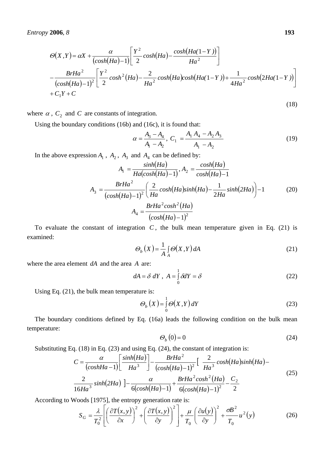$$
\Theta(X,Y) = \alpha X + \frac{\alpha}{(\cosh(Ha)-1)} \left[ \frac{Y^2}{2} \cosh(Ha) - \frac{\cosh(Ha(1-Y))}{Ha^2} \right]
$$
  
 
$$
-\frac{BrHa^2}{(\cosh(Ha)-1)^2} \left[ \frac{Y^2}{2} \cosh^2(Ha) - \frac{2}{Ha^2} \cosh(Ha) \cosh(Ha(1-Y)) + \frac{1}{4Ha^2} \cosh(2Ha(1-Y)) \right]
$$
  
 
$$
+ C_1 Y + C
$$

where  $\alpha$ ,  $C_2$  and  $C$  are constants of integration.

Using the boundary conditions (16b) and (16c), it is found that:

$$
\alpha = \frac{A_3 - A_4}{A_1 - A_2}, \ C_1 = \frac{A_1 A_4 - A_2 A_3}{A_1 - A_2} \tag{19}
$$

In the above expression  $A_1$ ,  $A_2$ ,  $A_3$  and  $A_4$  can be defined by:

$$
A_1 = \frac{\sinh(Ha)}{Ha(\cosh(Ha) - 1)}, A_2 = \frac{\cosh(Ha)}{\cosh(Ha) - 1}
$$
  

$$
A_3 = \frac{BrHa^2}{(\cosh(Ha) - 1)^2} \left(\frac{2}{Ha} \cosh(Ha) \sinh(Ha) - \frac{1}{2Ha} \sinh(2Ha)\right) - 1
$$
 (20)  

$$
A_4 = \frac{BrHa^2 \cosh^2(Ha)}{(\cosh(Ha) - 1)^2}
$$

To evaluate the constant of integration  $C$ , the bulk mean temperature given in Eq. (21) is examined:

$$
\Theta_b(X) = \frac{1}{A} \int_A \Theta(X, Y) dA \tag{21}
$$

where the area element *dA* and the area *A* are:

$$
dA = \delta \ dY \ , \ A = \int_{0}^{1} \delta dY = \delta \tag{22}
$$

Using Eq. (21), the bulk mean temperature is:

$$
\Theta_b(X) = \int_0^1 \Theta(X,Y) dY
$$
\n(23)

The boundary conditions defined by Eq. (16a) leads the following condition on the bulk mean temperature:

$$
\Theta_b(0) = 0\tag{24}
$$

Substituting Eq. (18) in Eq. (23) and using Eq. (24), the constant of integration is:

$$
C = \frac{\alpha}{\left(\cosh H a - 1\right)} \left[ \frac{\sinh (H a)}{H a^3} \right] - \frac{B r H a^2}{\left(\cosh (H a) - 1\right)^2} \left[ \frac{2}{H a^3} \cosh (H a) \sinh (H a) - \frac{2}{16H a^3} \sinh (2H a) \right] - \frac{\alpha}{6(\cosh (H a) - 1)} + \frac{B r H a^2 \cosh^2 (H a)}{6(\cosh (H a) - 1)^2} - \frac{C_2}{2}
$$
(25)

According to Woods [1975], the entropy generation rate is:

$$
S_G = \frac{\lambda}{T_0^2} \left[ \left( \frac{\partial T(x, y)}{\partial x} \right)^2 + \left( \frac{\partial T(x, y)}{\partial y} \right)^2 \right] + \frac{\mu}{T_0} \left( \frac{\partial u(y)}{\partial y} \right)^2 + \frac{\sigma B^2}{T_0} u^2(y) \tag{26}
$$

(18)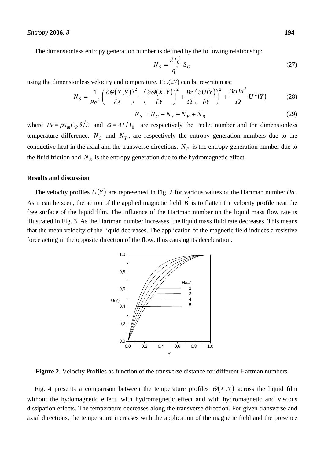#### *Entropy* **2006**, *8* **194**

The dimensionless entropy generation number is defined by the following relationship:

$$
N_S = \frac{\lambda T_0^2}{q^2} S_G \tag{27}
$$

using the dimensionless velocity and temperature, Eq.(27) can be rewritten as:

$$
N_S = \frac{1}{Pe^2} \left( \frac{\partial \Theta(X, Y)}{\partial X} \right)^2 + \left( \frac{\partial \Theta(X, Y)}{\partial Y} \right)^2 + \frac{Br}{\Omega} \left( \frac{\partial U(Y)}{\partial Y} \right)^2 + \frac{BrHa^2}{\Omega} U^2(Y) \tag{28}
$$

$$
N_S = N_C + N_Y + N_F + N_B \tag{29}
$$

where  $Pe = \rho u_m C_p \delta / \lambda$  and  $\Omega = \Delta T / T_0$  are respectively the Peclet number and the dimensionless temperature difference.  $N_c$  and  $N_y$ , are respectively the entropy generation numbers due to the conductive heat in the axial and the transverse directions.  $N_F$  is the entropy generation number due to the fluid friction and  $N_B$  is the entropy generation due to the hydromagnetic effect.

## **Results and discussion**

The velocity profiles  $U(Y)$  are represented in Fig. 2 for various values of the Hartman number *Ha*. As it can be seen, the action of the applied magnetic field *B* .<br>Ρ is to flatten the velocity profile near the free surface of the liquid film. The influence of the Hartman number on the liquid mass flow rate is illustrated in Fig. 3. As the Hartman number increases, the liquid mass fluid rate decreases. This means that the mean velocity of the liquid decreases. The application of the magnetic field induces a resistive force acting in the opposite direction of the flow, thus causing its deceleration.



**Figure 2.** Velocity Profiles as function of the transverse distance for different Hartman numbers.

Fig. 4 presents a comparison between the temperature profiles  $\Theta(X,Y)$  across the liquid film without the hydomagnetic effect, with hydromagnetic effect and with hydromagnetic and viscous dissipation effects. The temperature decreases along the transverse direction. For given transverse and axial directions, the temperature increases with the application of the magnetic field and the presence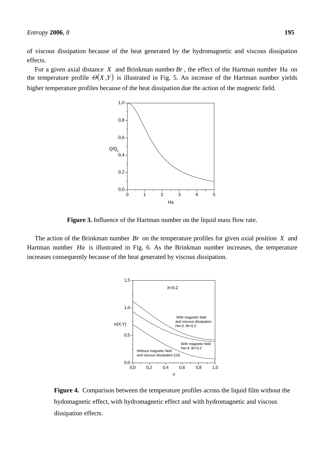of viscous dissipation because of the heat generated by the hydromagnetic and viscous dissipation effects.

For a given axial distance *X* and Brinkman number *Br* , the effect of the Hartman number Ha on the temperature profile  $\Theta(X,Y)$  is illustrated in Fig. 5. An increase of the Hartman number yields higher temperature profiles because of the heat dissipation due the action of the magnetic field.



**Figure 3.** Influence of the Hartman number on the liquid mass flow rate.

The action of the Brinkman number *Br* on the temperature profiles for given axial position *X* and Hartman number *Ha* is illustrated in Fig. 6. As the Brinkman number increases, the temperature increases consequently because of the heat generated by viscous dissipation.



**Figure 4.** Comparison between the temperature profiles across the liquid film without the hydomagnetic effect, with hydromagnetic effect and with hydromagnetic and viscous dissipation effects.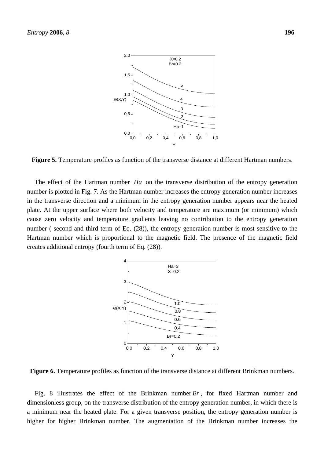

**Figure 5.** Temperature profiles as function of the transverse distance at different Hartman numbers.

The effect of the Hartman number *Ha* on the transverse distribution of the entropy generation number is plotted in Fig. 7. As the Hartman number increases the entropy generation number increases in the transverse direction and a minimum in the entropy generation number appears near the heated plate. At the upper surface where both velocity and temperature are maximum (or minimum) which cause zero velocity and temperature gradients leaving no contribution to the entropy generation number ( second and third term of Eq. (28)), the entropy generation number is most sensitive to the Hartman number which is proportional to the magnetic field. The presence of the magnetic field creates additional entropy (fourth term of Eq. (28)).



**Figure 6.** Temperature profiles as function of the transverse distance at different Brinkman numbers.

Fig. 8 illustrates the effect of the Brinkman number *Br* , for fixed Hartman number and dimensionless group, on the transverse distribution of the entropy generation number, in which there is a minimum near the heated plate. For a given transverse position, the entropy generation number is higher for higher Brinkman number. The augmentation of the Brinkman number increases the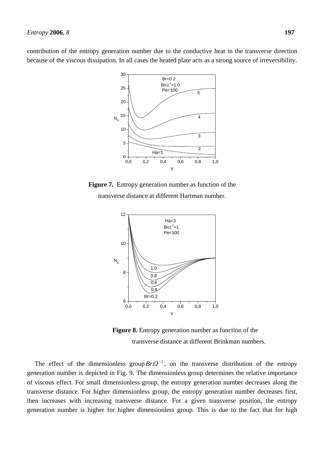contribution of the entropy generation number due to the conductive heat in the transverse direction because of the viscous dissipation. In all cases the heated plate acts as a strong source of irreversibility.



**Figure 7.** Entropy generation number as function of the transverse distance at different Hartman number.



**Figure 8.** Entropy generation number as function of the transverse distance at different Brinkman numbers.

The effect of the dimensionless group  $Br\Omega^{-1}$ , on the transverse distribution of the entropy generation number is depicted in Fig. 9. The dimensionless group determines the relative importance of viscous effect. For small dimensionless group, the entropy generation number decreases along the transverse distance. For higher dimensionless group, the entropy generation number decreases first, then increases with increasing transverse distance. For a given transverse position, the entropy generation number is higher for higher dimensionless group. This is due to the fact that for high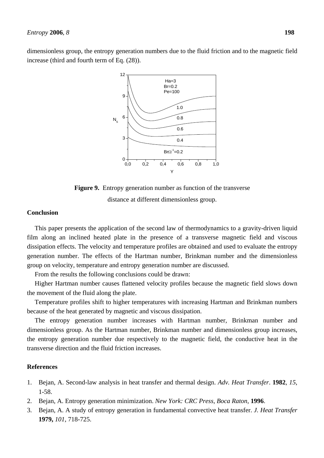dimensionless group, the entropy generation numbers due to the fluid friction and to the magnetic field increase (third and fourth term of Eq. (28)).



**Figure 9.** Entropy generation number as function of the transverse distance at different dimensionless group.

## **Conclusion**

This paper presents the application of the second law of thermodynamics to a gravity-driven liquid film along an inclined heated plate in the presence of a transverse magnetic field and viscous dissipation effects. The velocity and temperature profiles are obtained and used to evaluate the entropy generation number. The effects of the Hartman number, Brinkman number and the dimensionless group on velocity, temperature and entropy generation number are discussed.

From the results the following conclusions could be drawn:

Higher Hartman number causes flattened velocity profiles because the magnetic field slows down the movement of the fluid along the plate.

Temperature profiles shift to higher temperatures with increasing Hartman and Brinkman numbers because of the heat generated by magnetic and viscous dissipation.

The entropy generation number increases with Hartman number, Brinkman number and dimensionless group. As the Hartman number, Brinkman number and dimensionless group increases, the entropy generation number due respectively to the magnetic field, the conductive heat in the transverse direction and the fluid friction increases.

# **References**

- 1. Bejan, A. Second-law analysis in heat transfer and thermal design. *Adv. Heat Transfer*. **1982**, *15*, 1-58.
- 2. Bejan, A. Entropy generation minimization. *New York: CRC Press, Boca Raton*, **1996**.
- 3. Bejan, A. A study of entropy generation in fundamental convective heat transfer. *J. Heat Transfer* **1979,** *101*, 718-725.